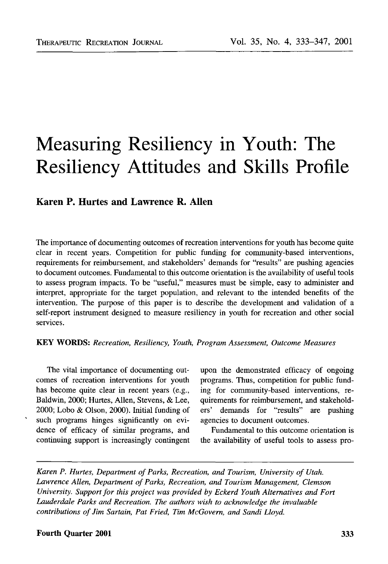# Measuring Resiliency in Youth: The Resiliency Attitudes and Skills Profile

# Karen P. Hurtes and Lawrence R. Allen

The importance of documenting outcomes of recreation interventions for youth has become quite clear in recent years. Competition for public funding for community-based interventions, requirements for reimbursement, and stakeholders' demands for "results" are pushing agencies to document outcomes. Fundamental to this outcome orientation is the availability of useful tools to assess program impacts. To be "useful," measures must be simple, easy to administer and interpret, appropriate for the target population, and relevant to the intended benefits of the intervention. The purpose of this paper is to describe the development and validation of a self-report instrument designed to measure resiliency in youth for recreation and other social services.

#### **KEY WORDS:** *Recreation, Resiliency, Youth, Program Assessment, Outcome Measures*

comes of recreation interventions for youth programs. Thus, competition for public fundhas become quite clear in recent years (e.g., ing for community-based interventions, re-Baldwin, 2000; Hurtes, Allen, Stevens, & Lee, quirements for reimbursement, and stakehold-2000; Lobo & Olson, 2000). Initial funding of ers' demands for "results" are pushing such programs hinges significantly on evi- agencies to document outcomes. dence of efficacy of similar programs, and Fundamental to this outcome orientation is

The vital importance of documenting out- upon the demonstrated efficacy of ongoing

continuing support is increasingly contingent the availability of useful tools to assess pro-

*Karen P. Hurtes, Department of Parks, Recreation, and Tourism, University of Utah. Lawrence Allen, Department of Parks, Recreation, and Tourism Management, Clemson University. Support for this project was provided by Eckerd Youth Alternatives and Fort Lauderdale Parks and Recreation. The authors wish to acknowledge the invaluable contributions of Jim Sartain, Pat Fried, Tim McGovern, and Sandi Lloyd.*

#### **Fourth Quarter 2001** 333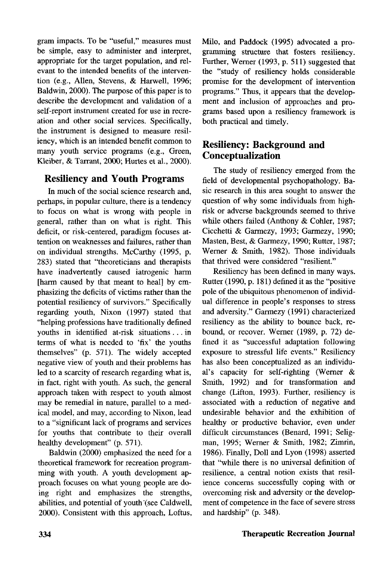gram impacts. To be "useful," measures must be simple, easy to administer and interpret, appropriate for the target population, and relevant to the intended benefits of the intervention (e.g., Allen, Stevens, & Harwell, 1996; Baldwin, 2000). The purpose of this paper is to describe the development and validation of a self-report instrument created for use in recreation and other social services. Specifically, the instrument is designed to measure resiliency, which is an intended benefit common to many youth service programs (e.g., Green, Kleiber, & Tarrant, 2000; Hurtes et al., 2000).

### Resiliency and Youth Programs

In much of the social science research and, perhaps, in popular culture, there is a tendency to focus on what is wrong with people in general, rather than on what is right. This deficit, or risk-centered, paradigm focuses attention on weaknesses and failures, rather than on individual strengths. McCarthy (1995, p. 283) stated that "theoreticians and therapists have inadvertently caused iatrogenic harm [harm caused by that meant to heal] by emphasizing the deficits of victims rather than the potential resiliency of survivors." Specifically regarding youth, Nixon (1997) stated that "helping professions have traditionally defined youths in identified at-risk situations .. . in terms of what is needed to 'fix' the youths themselves" (p. 571). The widely accepted negative view of youth and their problems has led to a scarcity of research regarding what is, in fact, right with youth. As such, the general approach taken with respect to youth almost may be remedial in nature, parallel to a medical model, and may, according to Nixon, lead to a "significant lack of programs and services for youths that contribute to their overall healthy development" (p. 571).

Baldwin (2000) emphasized the need for a theoretical framework for recreation programming with youth. A youth development approach focuses on what young people are doing right and emphasizes the strengths, abilities, and potential of youth "(see Caldwell, 2000). Consistent with this approach, Loftus, Milo, and Paddock (1995) advocated a programming structure that fosters resiliency. Further, Werner (1993, p. 511) suggested that the "study of resiliency holds considerable promise for the development of intervention programs." Thus, it appears that the development and inclusion of approaches and programs based upon a resiliency framework is both practical and timely.

# Resiliency: Background and Conceptualization

The study of resiliency emerged from the field of developmental psychopathology. Basic research in this area sought to answer the question of why some individuals from highrisk or adverse backgrounds seemed to thrive while others failed (Anthony & Cohler, 1987; Cicchetti & Garmezy, 1993; Garmezy, 1990; Masten, Best, & Garmezy, 1990; Rutter, 1987; Werner & Smith, 1982). Those individuals that thrived were considered "resilient."

Resiliency has been defined in many ways. Rutter (1990, p. 181) defined it as the "positive pole of the ubiquitous phenomenon of individual difference in people's responses to stress and adversity." Garmezy (1991) characterized resiliency as the ability to bounce back, rebound, or recover. Werner (1989, p. 72) defined it as "successful adaptation following exposure to stressful life events." Resiliency has also been conceptualized as an individual's capacity for self-righting (Werner & Smith, 1992) and for transformation and change (Lifton, 1993). Further, resiliency is associated with a reduction of negative and undesirable behavior and the exhibition of healthy or productive behavior, even under difficult circumstances (Benard, 1991; Seligman, 1995; Werner & Smith, 1982; Zimrin, 1986). Finally, Doll and Lyon (1998) asserted that "while there is no universal definition of resilience, a central notion exists that resilience concerns successfully coping with or overcoming risk and adversity or the development of competence in the face of severe stress and hardship" (p. 348).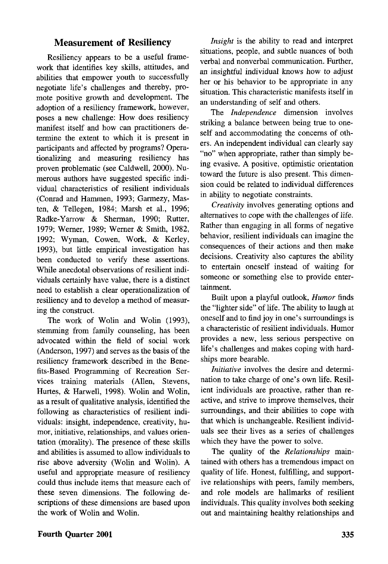#### Measurement of Resiliency

Resiliency appears to be a useful framework that identifies key skills, attitudes, and abilities that empower youth to successfully negotiate life's challenges and thereby, promote positive growth and development. The adoption of a resiliency framework, however, poses a new challenge: How does resiliency manifest itself and how can practitioners determine the extent to which it is present in participants and affected by programs? Operationalizing and measuring resiliency has proven problematic (see Caldwell, 2000). Numerous authors have suggested specific individual characteristics of resilient individuals (Conrad and Hammen, 1993; Garmezy, Masten, & Tellegen, 1984; Marsh et al., 1996; Radke-Yarrow & Sherman, 1990; Rutter, 1979; Werner, 1989; Werner & Smith, 1982, 1992; Wyman, Cowen, Work, & Kerley, 1993), but little empirical investigation has been conducted to verify these assertions. While anecdotal observations of resilient individuals certainly have value, there is a distinct need to establish a clear operationalization of resiliency and to develop a method of measuring the construct.

The work of Wolin and Wolin (1993), stemming from family counseling, has been advocated within the field of social work (Anderson, 1997) and serves as the basis of the resiliency framework described in the Benefits-Based Programming of Recreation Services training materials (Allen, Stevens, Hurtes, & Harwell, 1998). Wolin and Wolin, as a result of qualitative analysis, identified the following as characteristics of resilient individuals: insight, independence, creativity, humor, initiative, relationships, and values orientation (morality). The presence of these skills and abilities is assumed to allow individuals to rise above adversity (Wolin and Wolin). A useful and appropriate measure of resiliency could thus include items that measure each of these seven dimensions. The following descriptions of these dimensions are based upon the work of Wolin and Wolin.

*Insight* is the ability to read and interpret situations, people, and subtle nuances of both verbal and nonverbal communication. Further, an insightful individual knows how to adjust her or his behavior to be appropriate in any situation. This characteristic manifests itself in an understanding of self and others.

The *Independence* dimension involves striking a balance between being true to oneself and accommodating the concerns of others. An independent individual can clearly say "no" when appropriate, rather than simply being evasive. A positive, optimistic orientation toward the future is also present. This dimension could be related to individual differences in ability to negotiate constraints.

*Creativity* involves generating options and alternatives to cope with the challenges of life. Rather than engaging in all forms of negative behavior, resilient individuals can imagine the consequences of their actions and then make decisions. Creativity also captures the ability to entertain oneself instead of waiting for someone or something else to provide entertainment.

Built upon a playful outlook, *Humor* finds the "lighter side" of life. The ability to laugh at oneself and to find joy in one's surroundings is a characteristic of resilient individuals. Humor provides a new, less serious perspective on life's challenges and makes coping with hardships more bearable.

*Initiative* involves the desire and determination to take charge of one's own life. Resilient individuals are proactive, rather than reactive, and strive to improve themselves, their surroundings, and their abilities to cope with that which is unchangeable. Resilient individuals see their lives as a series of challenges which they have the power to solve.

The quality of the *Relationships* maintained with others has a tremendous impact on quality of life. Honest, fulfilling, and supportive relationships with peers, family members, and role models are hallmarks of resilient individuals. This quality involves both seeking out and maintaining healthy relationships and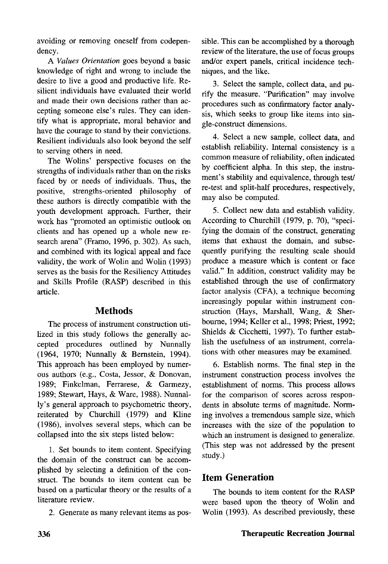avoiding or removing oneself from codependency.

A *Values Orientation* goes beyond a basic knowledge of right and wrong to include the desire to live a good and productive life. Resilient individuals have evaluated their world and made their own decisions rather than accepting someone else's rules. They can identify what is appropriate, moral behavior and have the courage to stand by their convictions. Resilient individuals also look beyond the self to serving others in need.

The Wolins' perspective focuses on the strengths of individuals rather than on the risks faced by or needs of individuals. Thus, the positive, strengths-oriented philosophy of these authors is directly compatible with the youth development approach. Further, their work has "promoted an optimistic outlook on clients and has opened up a whole new research arena" (Framo, 1996, p. 302). As such, and combined with its logical appeal and face validity, the work of Wolin and Wolin (1993) serves as the basis for the Resiliency Attitudes and Skills Profile (RASP) described in this article.

### **Methods**

The process of instrument construction utilized in this study follows the generally accepted procedures outlined by Nunnally (1964, 1970; Nunnally & Bernstein, 1994). This approach has been employed by numerous authors (e.g., Costa, Jessor, & Donovan, 1989; Finkelman, Ferrarese, & Garmezy, 1989; Stewart, Hays, & Ware, 1988). Nunnally's general approach to psychometric theory, reiterated by Churchill (1979) and Kline (1986), involves several steps, which can be collapsed into the six steps listed below:

1. Set bounds to item content. Specifying the domain of the construct can be accomplished by selecting a definition of the construct. The bounds to item content can be based on a particular theory or the results of a literature review.

2. Generate as many relevant items as pos-

sible. This can be accomplished by a thorough review of the literature, the use of focus groups and/or expert panels, critical incidence techniques, and the like.

3. Select the sample, collect data, and purify the measure. "Purification" may involve procedures such as confirmatory factor analysis, which seeks to group like items into single-construct dimensions.

4. Select a new sample, collect data, and establish reliability. Internal consistency is a common measure of reliability, often indicated by coefficient alpha. In this step, the instrument's stability and equivalence, through test/ re-test and split-half procedures, respectively, may also be computed.

5. Collect new data and establish validity. According to Churchill (1979, p. 70), "specifying the domain of the construct, generating items that exhaust the domain, and subsequently purifying the resulting scale should produce a measure which is content or face valid." In addition, construct validity may be established through the use of confirmatory factor analysis (CFA), a technique becoming increasingly popular within instrument construction (Hays, Marshall, Wang, & Sherbourne, 1994; Keller et al., 1998; Priest, 1992; Shields & Cicchetti, 1997). To further establish the usefulness of an instrument, correlations with other measures may be examined.

6. Establish norms. The final step in the instrument construction process involves the establishment of norms. This process allows for the comparison of scores across respondents in absolute terms of magnitude. Norming involves a tremendous sample size, which increases with the size of the population to which an instrument is designed to generalize. (This step was not addressed by the present study.)

# Item Generation

The bounds to item content for the RASP were based upon the theory of Wolin and Wolin (1993). As described previously, these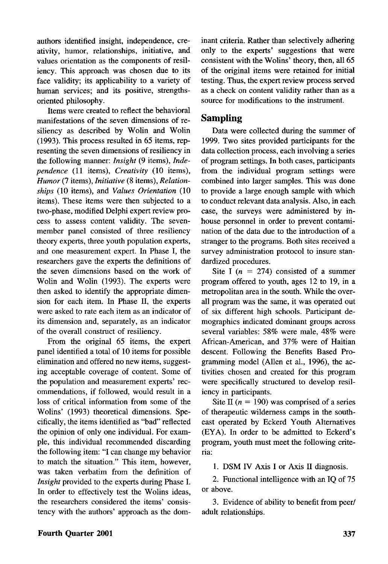authors identified insight, independence, creativity, humor, relationships, initiative, and values orientation as the components of resiliency. This approach was chosen due to its face validity; its applicability to a variety of human services; and its positive, strengthsoriented philosophy.

Items were created to reflect the behavioral manifestations of the seven dimensions of resiliency as described by Wolin and Wolin (1993). This process resulted in 65 items, representing the seven dimensions of resiliency in the following manner: *Insight* (9 items), *Independence* (11 items), *Creativity* (10 items), *Humor* (7 items), *Initiative* (8 items), *Relationships* (10 items), and *Values Orientation* (10 items). These items were then subjected to a two-phase, modified Delphi expert review process to assess content validity. The sevenmember panel consisted of three resiliency theory experts, three youth population experts, and one measurement expert. In Phase I, the researchers gave the experts the definitions of the seven dimensions based on the work of Wolin and Wolin (1993). The experts were then asked to identify the appropriate dimension for each item. In Phase II, the experts were asked to rate each item as an indicator of its dimension and, separately, as an indicator of the overall construct of resiliency.

From the original 65 items, the expert panel identified a total of 10 items for possible elimination and offered no new items, suggesting acceptable coverage of content. Some of the population and measurement experts' recommendations, if followed, would result in a loss of critical information from some of the Wolins' (1993) theoretical dimensions. Specifically, the items identified as "bad" reflected the opinion of only one individual. For example, this individual recommended discarding the following item: "I can change my behavior to match the situation." This item, however, was taken verbatim from the definition of *Insight* provided to the experts during Phase I. In order to effectively test the Wolins ideas, the researchers considered the items' consistency with the authors' approach as the dominant criteria. Rather than selectively adhering only to the experts' suggestions that were consistent with the Wolins' theory, then, all 65 of the original items were retained for initial testing. Thus, the expert review process served as a check on content validity rather than as a source for modifications to the instrument.

#### **Sampling**

Data were collected during the summer of 1999. Two sites provided participants for the data collection process, each involving a series of program settings. In both cases, participants from the individual program settings were combined into larger samples. This was done to provide a large enough sample with which to conduct relevant data analysis. Also, in each case, the surveys were administered by inhouse personnel in order to prevent contamination of the data due to the introduction of a stranger to the programs. Both sites received a survey administration protocol to insure standardized procedures.

Site I ( $n = 274$ ) consisted of a summer program offered to youth, ages 12 to 19, in a metropolitan area in the south. While the overall program was the same, it was operated out of six different high schools. Participant demographics indicated dominant groups across several variables: 58% were male, 48% were African-American, and 37% were of Haitian descent. Following the Benefits Based Programming model (Allen et al., 1996), the activities chosen and created for this program were specifically structured to develop resiliency in participants.

Site II *(n =* 190) was comprised of a series of therapeutic wilderness camps in the southeast operated by Eckerd Youth Alternatives (EYA). In order to be admitted to Eckerd's program, youth must meet the following criteria:

1. DSM IV Axis I or Axis II diagnosis.

2. Functional intelligence with an IQ of 75 or above.

3. Evidence of ability to benefit from peer/ adult relationships.

#### **Fourth Quarter 2001** 337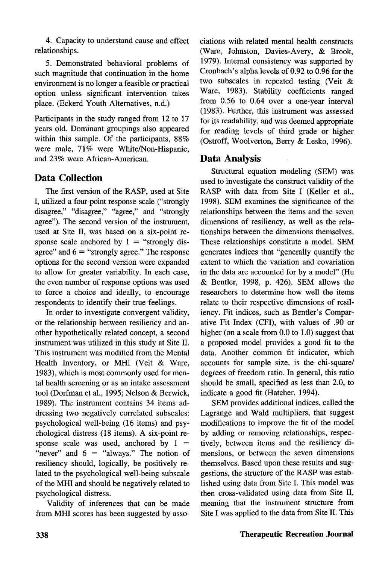4. Capacity to understand cause and effect relationships.

5. Demonstrated behavioral problems of such magnitude that continuation in the home environment is no longer a feasible or practical option unless significant intervention takes place. (Eckerd Youth Alternatives, n.d.)

Participants in the study ranged from 12 to 17 years old. Dominant groupings also appeared within this sample. Of the participants, 88% were male, 71% were White/Non-Hispanic, and 23% were African-American.

# Data Collection

The first version of the RASP, used at Site I, utilized a four-point response scale ("strongly disagree," "disagree," "agree," and "strongly agree"). The second version of the instrument, used at Site  $\Pi$ , was based on a six-point response scale anchored by  $1 =$  "strongly disagree" and  $6 =$  "strongly agree." The response options for the second version were expanded to allow for greater variability. In each case, the even number of response options was used to force a choice and ideally, to encourage respondents to identify their true feelings.

In order to investigate convergent validity, or the relationship between resiliency and another hypothetically related concept, a second instrument was utilized in this study at Site II. This instrument was modified from the Mental Health Inventory, or MHI (Veit & Ware, 1983), which is most commonly used for mental health screening or as an intake assessment tool (Dorfman et al., 1995; Nelson & Berwick, 1989). The instrument contains 34 items addressing two negatively correlated subscales: psychological well-being (16 items) and psychological distress (18 items). A six-point response scale was used, anchored by  $1 =$ "never" and  $6 =$  "always." The notion of resiliency should, logically, be positively related to the psychological well-being subscale of the MHI and should be negatively related to psychological distress.

Validity of inferences that can be made from MHI scores has been suggested by associations with related mental health constructs (Ware, Johnston, Davies-Avery, & Brook, 1979). Internal consistency was supported by Cronbach's alpha levels of 0.92 to 0.96 for the two subscales in repeated testing (Veit & Ware, 1983). Stability coefficients ranged from 0.56 to 0.64 over a one-year interval (1983). Further, this instrument was assessed for its readability, and was deemed appropriate for reading levels of third grade or higher (Ostroff, Woolverton, Berry & Lesko, 1996).

## Data Analysis

Structural equation modeling (SEM) was used to investigate the construct validity of the RASP with data from Site I (Keller et al., 1998). SEM examines the significance of the relationships between the items and the seven dimensions of resiliency, as well as the relationships between the dimensions themselves. These relationships constitute a model. SEM generates indices that "generally quantify the extent to which the variation and covariation in the data are accounted for by a model" (Hu & Bentler, 1998, p. 426). SEM allows the researchers to determine how well the items relate to their respective dimensions of resiliency. Fit indices, such as Bentler's Comparative Fit Index (CFI), with values of .90 or higher (on a scale from 0.0 to 1.0) suggest that a proposed model provides a good fit to the data. Another common fit indicator, which accounts for sample size, is the chi-square/ degrees of freedom ratio. In general, this ratio should be small, specified as less than 2.0, to indicate a good fit (Hatcher, 1994).

SEM provides additional indices, called the Lagrange and Wald multipliers, that suggest modifications to improve the fit of the model by adding or removing relationships, respectively, between items and the resiliency dimensions, or between the seven dimensions themselves. Based upon these results and suggestions, the structure of the RASP was established using data from Site I. This model was then cross-validated using data from Site  $\Pi$ , meaning that the instrument structure from Site I was applied to the data from Site II. This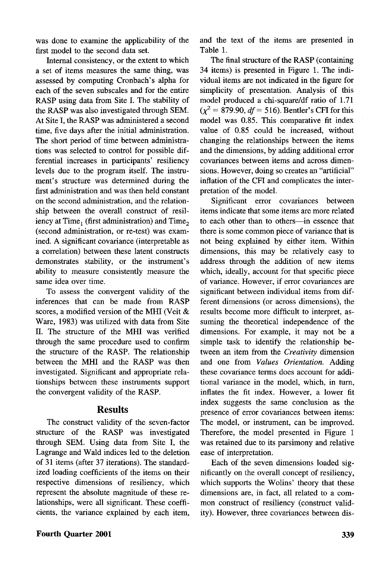was done to examine the applicability of the first model to the second data set.

Internal consistency, or the extent to which a set of items measures the same thing, was assessed by computing Cronbach's alpha for each of the seven subscales and for the entire RASP using data from Site I. The stability of the RASP was also investigated through SEM. At Site I, the RASP was administered a second time, five days after the initial administration. The short period of time between administrations was selected to control for possible differential increases in participants' resiliency levels due to the program itself. The instrument's structure was determined during the first administration and was then held constant on the second administration, and the relationship between the overall construct of resiliency at Time<sub>1</sub> (first administration) and Time<sub>2</sub> (second administration, or re-test) was examined. A significant covariance (interpretable as a correlation) between these latent constructs demonstrates stability, or the instrument's ability to measure consistently measure the same idea over time.

To assess the convergent validity of the inferences that can be made from RASP scores, a modified version of the MHI (Veit & Ware, 1983) was utilized with data from Site II. The structure of the MHI was verified through the same procedure used to confirm the structure of the RASP. The relationship between the MHI and the RASP was then investigated. Significant and appropriate relationships between these instruments support the convergent validity of the RASP.

#### **Results**

The construct validity of the seven-factor structure of the RASP was investigated through SEM. Using data from Site I, the Lagrange and Wald indices led to the deletion of 31 items (after 37 iterations). The standardized loading coefficients of the items on their respective dimensions of resiliency, which represent the absolute magnitude of these relationships, were all significant. These coefficients, the variance explained by each item, and the text of the items are presented in Table 1.

The final structure of the RASP (containing 34 items) is presented in Figure 1. The individual items are not indicated in the figure for simplicity of presentation. Analysis of this model produced a chi-square/df ratio of 1.71  $(\chi^2 = 879.90, df = 516)$ . Bentler's CFI for this model was 0.85. This comparative fit index value of 0.85 could be increased, without changing the relationships between the items and the dimensions, by adding additional error covariances between items and across dimensions. However, doing so creates an "artificial" inflation of the CFI and complicates the interpretation of the model.

Significant error covariances between items indicate that some items are more related to each other than to others—in essence that there is some common piece of variance that is not being explained by either item. Within dimensions, this may be relatively easy to address through the addition of new items which, ideally, account for that specific piece of variance. However, if error covariances are significant between individual items from different dimensions (or across dimensions), the results become more difficult to interpret, assuming the theoretical independence of the dimensions. For example, it may not be a simple task to identify the relationship between an item from the *Creativity* dimension and one from *Values Orientation.* Adding these covariance terms does account for additional variance in the model, which, in turn, inflates the fit index. However, a lower fit index suggests the same conclusion as the presence of error covariances between items: The model, or instrument, can be improved. Therefore, the model presented in Figure 1 was retained due to its parsimony and relative ease of interpretation.

Each of the seven dimensions loaded significantly on the overall concept of resiliency, which supports the Wolins' theory that these dimensions are, in fact, all related to a common construct of resiliency (construct validity). However, three covariances between dis-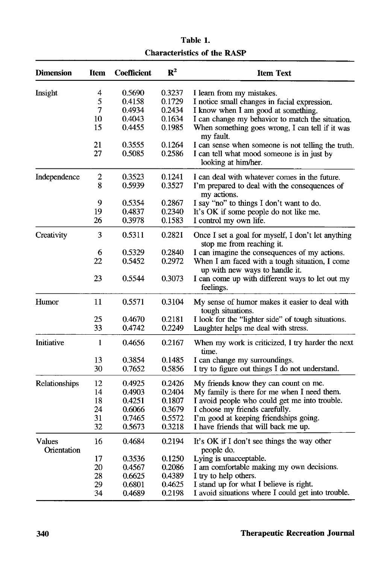| <b>Dimension</b>      | Item             | <b>Coefficient</b> | $\mathbb{R}^2$ | <b>Item Text</b>                                                                 |
|-----------------------|------------------|--------------------|----------------|----------------------------------------------------------------------------------|
| Insight               | 4                | 0.5690             | 0.3237         | I learn from my mistakes.                                                        |
|                       | 5                | 0.4158             | 0.1729         | I notice small changes in facial expression.                                     |
|                       | 7                | 0.4934             | 0.2434         | I know when I am good at something.                                              |
|                       | 10               | 0.4043             | 0.1634         | I can change my behavior to match the situation.                                 |
|                       | 15               | 0.4455             | 0.1985         | When something goes wrong, I can tell if it was<br>my fault.                     |
|                       | 21               | 0.3555             | 0.1264         | I can sense when someone is not telling the truth.                               |
|                       | 27               | 0.5085             | 0.2586         | I can tell what mood someone is in just by<br>looking at him/her.                |
| Independence          | $\boldsymbol{2}$ | 0.3523             | 0.1241         | I can deal with whatever comes in the future.                                    |
|                       | 8                | 0.5939             | 0.3527         | I'm prepared to deal with the consequences of<br>my actions.                     |
|                       | 9                | 0.5354             | 0.2867         | I say "no" to things I don't want to do.                                         |
|                       | 19               | 0.4837             | 0.2340         | It's OK if some people do not like me.                                           |
|                       | 26               | 0.3978             | 0.1583         | I control my own life.                                                           |
| Creativity            | 3                | 0.5311             | 0.2821         | Once I set a goal for myself, I don't let anything<br>stop me from reaching it.  |
|                       | 6                | 0.5329             | 0.2840         | I can imagine the consequences of my actions.                                    |
|                       | 22               | 0.5452             | 0.2972         | When I am faced with a tough situation, I come<br>up with new ways to handle it. |
|                       | 23               | 0.5544             | 0.3073         | I can come up with different ways to let out my<br>feelings.                     |
| Humor                 | 11               | 0.5571             | 0.3104         | My sense of humor makes it easier to deal with<br>tough situations.              |
|                       | 25               | 0.4670             | 0.2181         | I look for the "lighter side" of tough situations.                               |
|                       | 33               | 0.4742             | 0.2249         | Laughter helps me deal with stress.                                              |
| Initiative            | 1                | 0.4656             | 0.2167         | When my work is criticized, I try harder the next<br>time.                       |
|                       | 13               | 0.3854             | 0.1485         | I can change my surroundings.                                                    |
|                       | 30               | 0.7652             | 0.5856         | I try to figure out things I do not understand.                                  |
| Relationships         | 12               | 0.4925             | 0.2426         | My friends know they can count on me.                                            |
|                       | 14               | 0.4903             | 0.2404         | My family is there for me when I need them.                                      |
|                       | 18               | 0.4251             | 0.1807         | I avoid people who could get me into trouble.                                    |
|                       | 24               | 0.6066             | 0.3679         | I choose my friends carefully.                                                   |
|                       | 31               | 0.7465             | 0.5572         | I'm good at keeping friendships going.                                           |
|                       | 32               | 0.5673             | 0.3218         | I have friends that will back me up.                                             |
| Values<br>Orientation | 16               | 0.4684             | 0.2194         | It's OK if I don't see things the way other<br>people do.                        |
|                       | 17               | 0.3536             | 0.1250         | Lying is unacceptable.                                                           |
|                       | 20               | 0.4567             | 0.2086         | I am comfortable making my own decisions.                                        |
|                       | 28               | 0.6625             | 0.4389         | I try to help others.                                                            |
|                       | 29               | 0.6801             | 0.4625         | I stand up for what I believe is right.                                          |
|                       | 34               | 0.4689             | 0.2198         | I avoid situations where I could get into trouble.                               |

**Table 1. Characteristics of the RASP**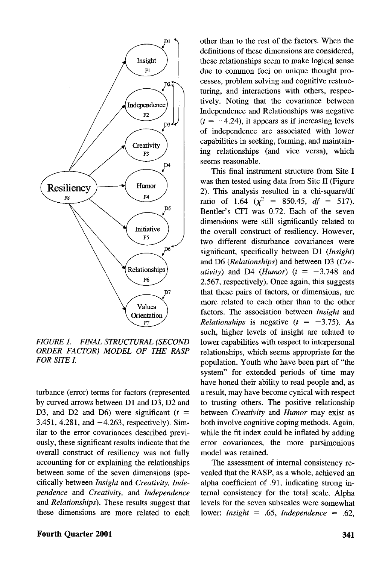

*FIGURE 1. FINAL STRUCTURAL (SECOND ORDER FACTOR) MODEL OF THE RASP FOR SITE I.*

turbance (error) terms for factors (represented by curved arrows between Dl and D3, D2 and D3, and D2 and D6) were significant  $(t =$ 3.451, 4.281, and  $-4.263$ , respectively). Similar to the error covariances described previously, these significant results indicate that the overall construct of resiliency was not fully accounting for or explaining the relationships between some of the seven dimensions (specifically between *Insight* and *Creativity, Independence* and *Creativity,* and *Independence* and *Relationships).* These results suggest that these dimensions are more related to each

other than to the rest of the factors. When the definitions of these dimensions are considered, these relationships seem to make logical sense due to common foci on unique thought processes, problem solving and cognitive restructuring, and interactions with others, respectively. Noting that the covariance between Independence and Relationships was negative  $(t = -4.24)$ , it appears as if increasing levels of independence are associated with lower capabilities in seeking, forming, and maintaining relationships (and vice versa), which seems reasonable.

This final instrument structure from Site I was then tested using data from Site II (Figure 2). This analysis resulted in a chi-square/df ratio of 1.64  $(\chi^2 = 850.45, df = 517)$ . Bender's CFI was 0.72. Each of the seven dimensions were still significantly related to the overall construct of resiliency. However, two different disturbance covariances were significant, specifically between Dl *(Insight)* and D6 *(Relationships)* and between D3 *(Creativity*) and D4 (*Humor*) ( $t = -3.748$  and 2.567, respectively). Once again, this suggests that these pairs of factors, or dimensions, are more related to each other than to the other factors. The association between *Insight* and *Relationships* is negative  $(t = -3.75)$ . As such, higher levels of insight are related to lower capabilities with respect to interpersonal relationships, which seems appropriate for the population. Youth who have been part of "the system" for extended periods of time may have honed their ability to read people and, as a result, may have become cynical with respect to trusting others. The positive relationship between *Creativity* and *Humor* may exist as both involve cognitive coping methods. Again, while the fit index could be inflated by adding error covariances, the more parsimonious model was retained.

The assessment of internal consistency revealed that the RASP, as a whole, achieved an alpha coefficient of .91, indicating strong internal consistency for the total scale. Alpha levels for the seven subscales were somewhat lower: *Insight =* .65, *Independence* = .62,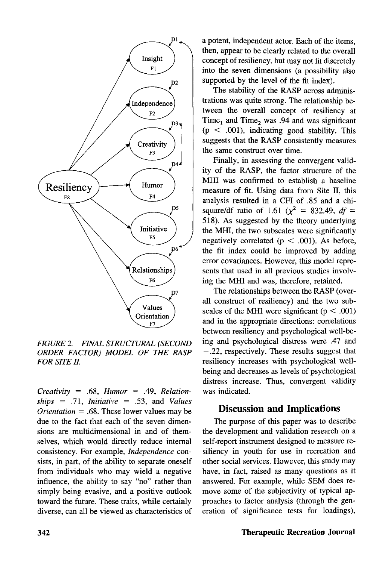

*FIGURE 2. FINAL STRUCTURAL (SECOND ORDER FACTOR) MODEL OF THE RASP FOR SITE II.*

*Creativity* = .68, *Humor =* .49, *Relationships =* .71, *Initiative* = .53, and *Values Orientation =* .68. These lower values may be due to the fact that each of the seven dimensions are multidimensional in and of themselves, which would directly reduce internal consistency. For example, *Independence* consists, in part, of the ability to separate oneself from individuals who may wield a negative influence, the ability to say "no" rather than simply being evasive, and a positive outlook toward the future. These traits, while certainly diverse, can all be viewed as characteristics of a potent, independent actor. Each of the items, then, appear to be clearly related to the overall concept of resiliency, but may not fit discretely into the seven dimensions (a possibility also supported by the level of the fit index).

The stability of the RASP across administrations was quite strong. The relationship between the overall concept of resiliency at Time<sub>1</sub> and Time<sub>2</sub> was .94 and was significant  $(p < .001)$ , indicating good stability. This suggests that the RASP consistently measures the same construct over time.

Finally, in assessing the convergent validity of the RASP, the factor structure of the MHI was confirmed to establish a baseline measure of fit. Using data from Site II, this analysis resulted in a CFI of .85 and a chisquare/df ratio of 1.61 ( $\chi^2 = 832.49$ , *df* = 518). As suggested by the theory underlying the MHI, the two subscales were significantly negatively correlated ( $p < .001$ ). As before, the fit index could be improved by adding error covariances. However, this model represents that used in all previous studies involving the MHI and was, therefore, retained.

The relationships between the RASP (overall construct of resiliency) and the two subscales of the MHI were significant ( $p < .001$ ) and in the appropriate directions: correlations between resiliency and psychological well-being and psychological distress were .47 and — .22, respectively. These results suggest that resiliency increases with psychological wellbeing and decreases as levels of psychological distress increase. Thus, convergent validity was indicated.

#### Discussion and Implications

The purpose of this paper was to describe the development and validation research on a self-report instrument designed to measure resiliency in youth for use in recreation and other social services. However, this study may have, in fact, raised as many questions as it answered. For example, while SEM does remove some of the subjectivity of typical approaches to factor analysis (through the generation of significance tests for loadings),

#### 342 **Therapeutic Recreation Journal**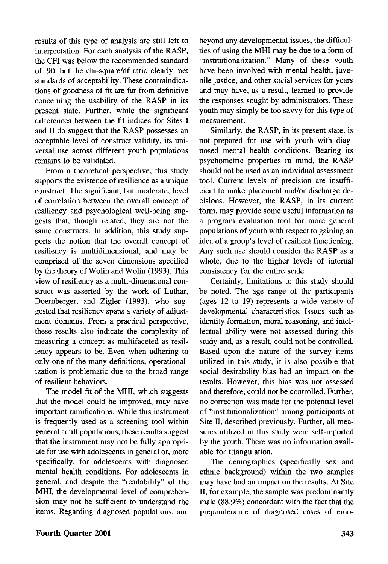results of this type of analysis are still left to interpretation. For each analysis of the RASP, the CFI was below the recommended standard of .90, but the chi-square/df ratio clearly met standards of acceptability. These contraindications of goodness of fit are far from definitive concerning the usability of the RASP in its present state. Further, while the significant differences between the fit indices for Sites I and II do suggest that the RASP possesses an acceptable level of construct validity, its universal use across different youth populations remains to be validated.

From a theoretical perspective, this study supports the existence of resilience as a unique construct. The significant, but moderate, level of correlation between the overall concept of resiliency and psychological well-being suggests that, though related, they are not the same constructs. In addition, this study supports the notion that the overall concept of resiliency is multidimensional, and may be comprised of the seven dimensions specified by the theory of Wolin and Wolin (1993). This view of resiliency as a multi-dimensional construct was asserted by the work of Luthar, Doernberger, and Zigler (1993), who suggested that resiliency spans a variety of adjustment domains. From a practical perspective, these results also indicate the complexity of measuring a concept as multifaceted as resiliency appears to be. Even when adhering to only one of the many definitions, operationalization is problematic due to the broad range of resilient behaviors.

The model fit of the MHI, which suggests that the model could be improved, may have important ramifications. While this instrument is frequently used as a screening tool within general adult populations, these results suggest that the instrument may not be fully appropriate for use with adolescents in general or, more specifically, for adolescents with diagnosed mental health conditions. For adolescents in general, and despite the "readability" of the MHI, the developmental level of comprehension may not be sufficient to understand the items. Regarding diagnosed populations, and beyond any developmental issues, the difficulties of using the MHI may be due to a form of "institutionalization." Many of these youth have been involved with mental health, juvenile justice, and other social services for years and may have, as a result, learned to provide the responses sought by administrators. These youth may simply be too savvy for this type of measurement.

Similarly, the RASP, in its present state, is not prepared for use with youth with diagnosed mental health conditions. Bearing its psychometric properties in mind, the RASP should not be used as an individual assessment tool. Current levels of precision are insufficient to make placement and/or discharge decisions. However, the RASP, in its current form, may provide some useful information as a program evaluation tool for more general populations of youth with respect to gaining an idea of a group's level of resilient functioning. Any such use should consider the RASP as a whole, due to the higher levels of internal consistency for the entire scale.

Certainly, limitations to this study should be noted. The age range of the participants (ages 12 to 19) represents a wide variety of developmental characteristics. Issues such as identity formation, moral reasoning, and intellectual ability were not assessed during this study and, as a result, could not be controlled. Based upon the nature of the survey items utilized in this study, it is also possible that social desirability bias had an impact on the results. However, this bias was not assessed and therefore, could not be controlled. Further, no correction was made for the potential level of "institutionalization" among participants at Site II, described previously. Further, all measures utilized in this study were self-reported by the youth. There was no information available for triangulation.

The demographics (specifically sex and ethnic background) within the two samples may have had an impact on the results. At Site II, for example, the sample was predominantly male (88.9%) concordant with the fact that the preponderance of diagnosed cases of emo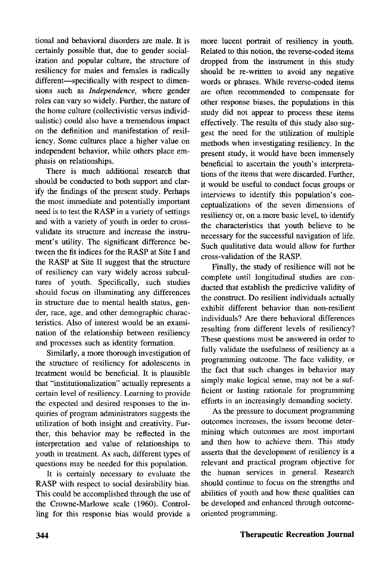tional and behavioral disorders are male. It is certainly possible that, due to gender socialization and popular culture, the structure of resiliency for males and females is radically different—specifically with respect to dimensions such as *Independence,* where gender roles can vary so widely. Further, the nature of the home culture (collectivistic versus individualistic) could also have a tremendous impact on the definition and manifestation of resiliency. Some cultures place a higher value on independent behavior, while others place emphasis on relationships.

There is much additional research that should be conducted to both support and clarify the findings of the present study. Perhaps the most immediate and potentially important need is to test the RASP in a variety of settings and with a variety of youth in order to crossvalidate its structure and increase the instrument's utility. The significant difference between the fit indices for the RASP at Site I and the RASP at Site II suggest that the structure of resiliency can vary widely across subcultures of youth. Specifically, such studies should focus on illuminating any differences in structure due to mental health status, gender, race, age, and other demographic characteristics. Also of interest would be an examination of the relationship between resiliency and processes such as identity formation.

Similarly, a more thorough investigation of the structure of resiliency for adolescents in treatment would be beneficial. It is plausible that "institutionalization" actually represents a certain level of resiliency. Learning to provide the expected and desired responses to the inquiries of program administrators suggests the utilization of both insight and creativity. Further, this behavior may be reflected in the interpretation and value of relationships to youth in treatment. As such, different types of questions may be needed for this population.

It is certainly necessary to evaluate the RASP with respect to social desirability bias. This could be accomplished through the use of the Crowne-Marlowe scale (1960). Controlling for this response bias would provide a

more lucent portrait of resiliency in youth. Related to this notion, the reverse-coded items dropped from the instrument in this study should be re-written to avoid any negative words or phrases. While reverse-coded items are often recommended to compensate for other response biases, the populations in this study did not appear to process these items effectively. The results of this study also suggest the need for the utilization of multiple methods when investigating resiliency. In the present study, it would have been immensely beneficial to ascertain the youth's interpretations of the items that were discarded. Further, it would be useful to conduct focus groups or interviews to identify this population's conceptualizations of the seven dimensions of resiliency or, on a more basic level, to identify the characteristics that youth believe to be necessary for the successful navigation of life. Such qualitative data would allow for further cross-validation of the RASP.

Finally, the study of resilience will not be complete until longitudinal studies are conducted that establish the predictive validity of the construct. Do resilient individuals actually exhibit different behavior than non-resilient individuals? Are there behavioral differences resulting from different levels of resiliency? These questions must be answered in order to fully validate the usefulness of resiliency as a programming outcome. The face validity, or the fact that such changes in behavior may simply make logical sense, may not be a sufficient or lasting rationale for programming efforts in an increasingly demanding society.

As the pressure to document programming outcomes increases, the issues become determining which outcomes are most important and then how to achieve them. This study asserts that the development of resiliency is a relevant and practical program objective for the human services in general. Research should continue to focus on the strengths and abilities of youth and how these qualities can be developed and enhanced through outcomeoriented programming.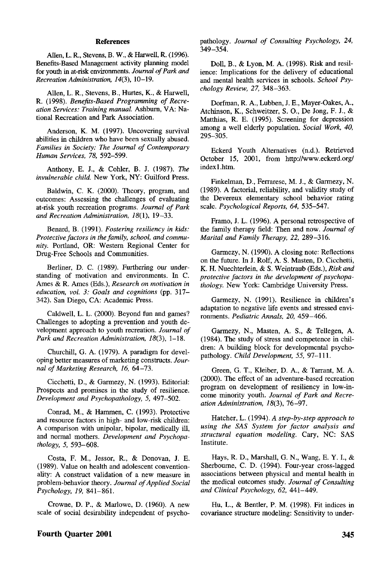#### **References**

Allen, L. R., Stevens, B. W., & Harwell, R. (1996). Benefits-Based Management activity planning model for youth in at-risk environments. *Journal of Park and Recreation Administration, 14(3),* 10-19.

Allen, L. R., Stevens, B., Hurtes, K., & Harwell, R. (1998). *Benefits-Based Programming of Recreation Services: Training manual.* Ashburn, VA: National Recreation and Park Association.

Anderson, K. M. (1997). Uncovering survival abilities in children who have been sexually abused. *Families in Society: The Journal of Contemporary Human Services, 78,* 592-599.

Anthony, E. J., & Cohler, B. J. (1987). *The invulnerable child.* New York, NY: Guilford Press.

Baldwin, C. K. (2000). Theory, program, and outcomes: Assessing the challenges of evaluating at-risk youth recreation programs. *Journal of Park* and Recreation Administration, 18(1), 19-33.

Benard, B. (1991). *Fostering resiliency in kids: Protective factors in the family, school, and community.* Portland, OR: Western Regional Center for Drug-Free Schools and Communities.

Berliner, D. C. (1989). Furthering our understanding of motivation and environments. In C. Ames & R. Ames (Eds.), *Research on motivation in education, vol. 3: Goals and cognitions* (pp. 317— 342). San Diego, CA: Academic Press.

Caldwell, L. L. (2000). Beyond fun and games? Challenges to adopting a prevention and youth development approach to youth recreation. *Journal of Park and Recreation Administration, 18(3),* 1-18.

Churchill, G. A. (1979). A paradigm for developing better measures of marketing constructs. *Journal of Marketing Research, 16,* 64-73.

Cicchetti, D., & Garmezy, N. (1993). Editorial: Prospects and promises in the study of resilience. *Development and Psychopathology, 5,* 497—502.

Conrad, M, & Hammen, C. (1993). Protective and resource factors in high- and low-risk children: A comparison with unipolar, bipolar, medically ill, and normal mothers. *Development and Psychopathology, 5,* 593-608.

Costa, F. M., lessor, R., & Donovan, J. E. (1989). Value on health and adolescent conventionality: A construct validation of a new measure in problem-behavior theory. *Journal of Applied Social Psychology, 19,* 841-861.

Crowne, D. P., & Marlowe, D. (1960). A new scale of social desirability independent of psychopathology. *Journal of Consulting Psychology, 24,* 349-354.

Doll, B., & Lyon, M. A. (1998). Risk and resilience: Implications for the delivery of educational and mental health services in schools. *School Psychology Review, 27,* 348—363.

Dorfman, R. A., Lubben, J. E., Mayer-Oakes, A., Atchinson, K., Schweitzer, S. O., De Jong, F. J., & Matthias, R. E. (1995). Screening for depression among a well elderly population. *Social Work, 40,* 295-305.

Eckerd Youth Alternatives (n.d.). Retrieved October 15, 2001, from http://www.eckerd.org/ indexl.htm.

Finkelman, D., Ferrarese, M. J., & Garmezy, N. (1989). A factorial, reliability, and validity study of the Devereux elementary school behavior rating scale. *Psychological Reports, 64,* 535—547.

Framo, J. L. (1996). A personal retrospective of the family therapy field: Then and now. *Journal of Marital and Family Therapy, 22,* 289-316.

Garmezy, N. (1990). A closing note: Reflections on the future. In J. Rolf, A. S. Masten, D. Cicchetti, K. H. Nuechterlein, & S. Weintraub (Eds.), *Risk and protective factors in the development of psychopathology.* New York: Cambridge University Press.

Garmezy, N. (1991). Resilience in children's adaptation to negative life events and stressed environments. *Pediatric Annals, 20,* 459—466.

Garmezy, N., Masten, A. S., & Tellegen, A. (1984). The study of stress and competence in children: A building block for developmental psychopathology. *Child Development, 55,* 97-111.

Green, G. T., Kleiber, D. A., & Tarrant, M. A. (2000). The effect of an adventure-based recreation program on development of resiliency in low-income minority youth. *Journal of Park and Recreation Administration, 18(3),* 76-97.

Hatcher, L. (1994). *A step-by-step approach to using the SAS System for factor analysis and structural equation modeling.* Cary, NC: SAS Institute.

Hays, R. D., Marshall, G. N., Wang, E. Y. I., & Sherbourne, C. D. (1994). Four-year cross-lagged associations between physical and mental health in the medical outcomes study. *Journal of Consulting and Clinical Psychology, 62,* 441—449.

Hu, L., & Bentler, P. M. (1998). Fit indices in covariance structure modeling: Sensitivity to under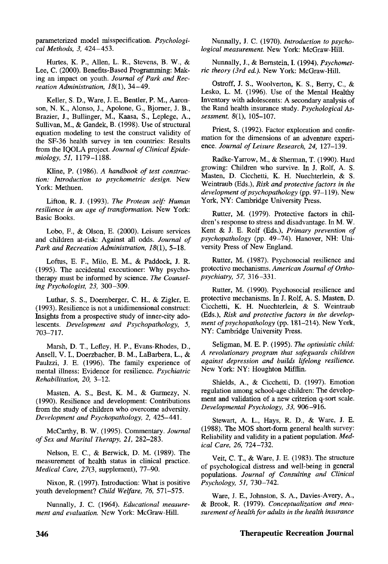parameterized model misspecification. *Psychological Methods, 3,* 424-453.

Hurtes, K. P., Allen, L. R., Stevens, B. W., & Lee, C. (2000). Benefits-Based Programming: Making an impact on youth. *Journal of Park and Recreation Administration, 18(1),* 34-49.

Keller, S. D., Ware, J. E., Bentler, P. M., Aaronson, N. K., Alonso, J., Apolone, G., Bjorner, J. B., Brazier, J., Bullinger, M, Kaasa, S., Leplege, A., Sullivan, M., & Gandek, B. (1998). Use of structural equation modeling to test the construct validity of the SF-36 health survey in ten countries: Results from the IQOLA project. *Journal of Clinical Epidemiology, 51,* 1179-1188.

Kline, P. (1986). *A handbook of test construction: Introduction to psychometric design.* New York: Methuen.

Lifton, R. J. (1993). *The Protean self: Human resilience in an age of transformation.* New York: Basic Books.

Lobo, F., & Olson, E. (2000). Leisure services and children at-risk: Against all odds. *Journal of Park and Recreation Administration, 18(1),* 5-18.

Loftus, E. F., Milo, E. M., & Paddock, J. R. (1995). The accidental executioner: Why psychotherapy must be informed by science. *The Counseling Psychologist, 23,* 300-309.

Luthar, S. S., Doernberger, C. H., & Zigler, E. (1993). Resilience is not a unidimensional construct: Insights from a prospective study of inner-city adolescents. *Development and Psychopathology, 5,* 703-717.

Marsh, D. T., Lefiey, H. P., Evans-Rhodes, D., Ansell, V. I., Doerzbacher, B. M., LaBarbera, L., & Paulzzi, J. E. (1996). The family experience of mental illness: Evidence for resilience. *Psychiatric Rehabilitation, 20,* 3-12.

Masten, A. S., Best, K. M., & Garmezy, N. (1990). Resilience and development: Contributions from the study of children who overcome adversity. *Development and Psychopathology, 2,* 425-441.

McCarthy, B. W. (1995). Commentary. *Journal of Sex and Marital Therapy, 21,* 282-283.

Nelson, E. C, & Berwick, D. M. (1989). The measurement of health status in clinical practice. *Medical Care, 27(3,* supplement), 77-90.

Nixon, R. (1997). Introduction: What is positive youth development? *Child Welfare, 76,* 571-575.

Nunnally, J. C. (1964). *Educational measurement and evaluation.* New York: McGraw-Hill.

Nunnally, J. C. (1970). *Introduction to psychological measurement.* New York: McGraw-Hill.

Nunnally, J., & Bernstein, I. (1994). *Psychometric theory (3rd ed.).* New York: McGraw-Hill.

Ostroff, J. S., Woolverton, K. S., Berry, C, & Lesko, L. M. (1996). Use of the Mental Healthy Inventory with adolescents: A secondary analysis of the Rand health insurance study. *Psychological Assessment, 8(1),* 105-107.

Priest, S. (1992). Factor exploration and confirmation for the dimensions of an adventure experience. *Journal of Leisure Research, 24,* 127-139.

Radke-Yarrow, M., & Sherman, T. (1990). Hard growing: Children who survive. In J. Rolf, A. S. Masten, D. Cicchetti, K. H. Nuechterlein, & S. Weintraub (Eds.), *Risk and protective factors in the development of psychopathology* (pp. 97-119). New York, NY: Cambridge University Press.

Rutter, M. (1979). Protective factors in children's response to stress and disadvantage. In M. W. Kent & J. E. Rolf (Eds.), *Primary prevention of psychopathology* (pp. 49-74). Hanover, NH: University Press of New England.

Rutter, M. (1987). Psychosocial resilience and protective mechanisms. *American Journal of Orthopsychiatry, 57,* 316-331.

Rutter, M. (1990). Psychosocial resilience and protective mechanisms. In J. Rolf, A. S. Masten, D. Cicchetti, K. H. Nuechterlein, & S. Weintraub (Eds.), *Risk and protective factors in the development of psychopathology* (pp. 181-214). New York, NY: Cambridge University Press.

Seligman, M. E. P. (1995). *The optimistic child: A revolutionary program that safeguards children against depression and builds lifelong resilience.* New York: NY: Houghton Mifflin.

Shields, A., & Cicchetti, D. (1997). Emotion regulation among school-age children: The development and validation of a new criterion q-sort scale. *Developmental Psychology, 33,* 906—916.

Stewart, A. L., Hays, R. D., & Ware, J. E. (1988). The MOS short-form general health survey: Reliability and validity in a patient population. *Medical Care, 26,* 724-732.

Veit, C. T., & Ware, J. E. (1983). The structure of psychological distress and well-being in general populations. *Journal of Consulting and Clinical Psychology, 51,* 730-742.

Ware, J. E., Johnston, S. A., Davies-Avery, A., & Brook, R. (1979). *Conceptualization and measurement of health for adults in the health insurance*